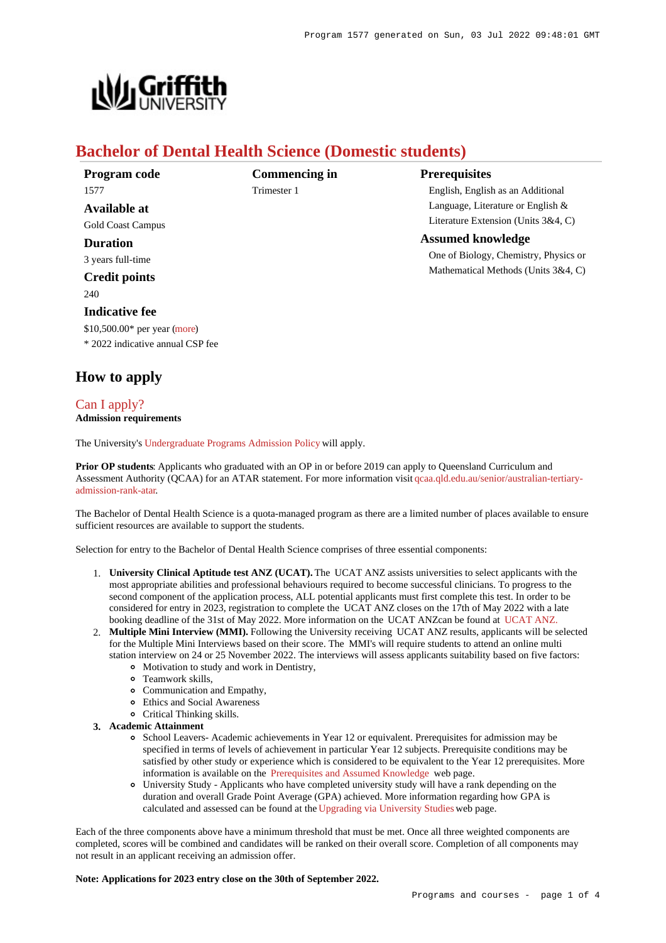

# **Bachelor of Dental Health Science (Domestic students)**

| Program code                     |
|----------------------------------|
| 1577                             |
| Available at                     |
| <b>Gold Coast Campus</b>         |
| <b>Duration</b>                  |
| 3 years full-time                |
| <b>Credit points</b>             |
| 240                              |
| <b>Indicative fee</b>            |
| $$10,500.00*$ per year (more)    |
| * 2022 indicative annual CSP fee |

**Commencing in** Trimester 1

# **Prerequisites**

English, English as an Additional Language, Literature or English & Literature Extension (Units 3&4, C)

# **Assumed knowledge**

One of Biology, Chemistry, Physics or Mathematical Methods (Units 3&4, C)

# **How to apply**

## [Can I apply?](https://www148.griffith.edu.au/programs-courses/Program/1577/HowToApply/Domestic#can-i-apply) **Admission requirements**

The University's [Undergraduate Programs Admission Policy](https://sharepointpubstor.blob.core.windows.net/policylibrary-prod/Undergraduate Programs Admission Policy.pdf) will apply.

**Prior OP students**: Applicants who graduated with an OP in or before 2019 can apply to Queensland Curriculum and Assessment Authority (QCAA) for an ATAR statement. For more information visit [qcaa.qld.edu.au/senior/australian-tertiary](http://qcaa.qld.edu.au/senior/australian-tertiary-admission-rank-atar)[admission-rank-atar](http://qcaa.qld.edu.au/senior/australian-tertiary-admission-rank-atar).

The Bachelor of Dental Health Science is a quota-managed program as there are a limited number of places available to ensure sufficient resources are available to support the students.

Selection for entry to the Bachelor of Dental Health Science comprises of three essential components:

- 1. **University Clinical Aptitude test ANZ (UCAT).** The UCAT ANZ assists universities to select applicants with the most appropriate abilities and professional behaviours required to become successful clinicians. To progress to the second component of the application process, ALL potential applicants must first complete this test. In order to be considered for entry in 2023, registration to complete the UCAT ANZ closes on the 17th of May 2022 with a late booking deadline of the 31st of May 2022. More information on the UCAT ANZcan be found at [UCAT ANZ.](https://www.ucat.edu.au/ucat-anz/ucat-anz-2021/)
- 2. **Multiple Mini Interview (MMI).** Following the University receiving UCAT ANZ results, applicants will be selected for the Multiple Mini Interviews based on their score. The MMI's will require students to attend an online multi station interview on 24 or 25 November 2022. The interviews will assess applicants suitability based on five factors:
	- Motivation to study and work in Dentistry,
	- Teamwork skills,
	- Communication and Empathy,
	- Ethics and Social Awareness
	- Critical Thinking skills.
- **3. Academic Attainment**
	- School Leavers- Academic achievements in Year 12 or equivalent. Prerequisites for admission may be specified in terms of levels of achievement in particular Year 12 subjects. Prerequisite conditions may be satisfied by other study or experience which is considered to be equivalent to the Year 12 prerequisites. More information is available on the [Prerequisites and Assumed Knowledge](https://www.griffith.edu.au/apply/prerequisites-assumed-knowledge) web page.
	- University Study Applicants who have completed university study will have a rank depending on the duration and overall Grade Point Average (GPA) achieved. More information regarding how GPA is calculated and assessed can be found at the [Upgrading via University Studies](https://www.griffith.edu.au/apply/admission-pathways/upgrading-via-university-studies) web page.

Each of the three components above have a minimum threshold that must be met. Once all three weighted components are completed, scores will be combined and candidates will be ranked on their overall score. Completion of all components may not result in an applicant receiving an admission offer.

**Note: Applications for 2023 entry close on the 30th of September 2022.**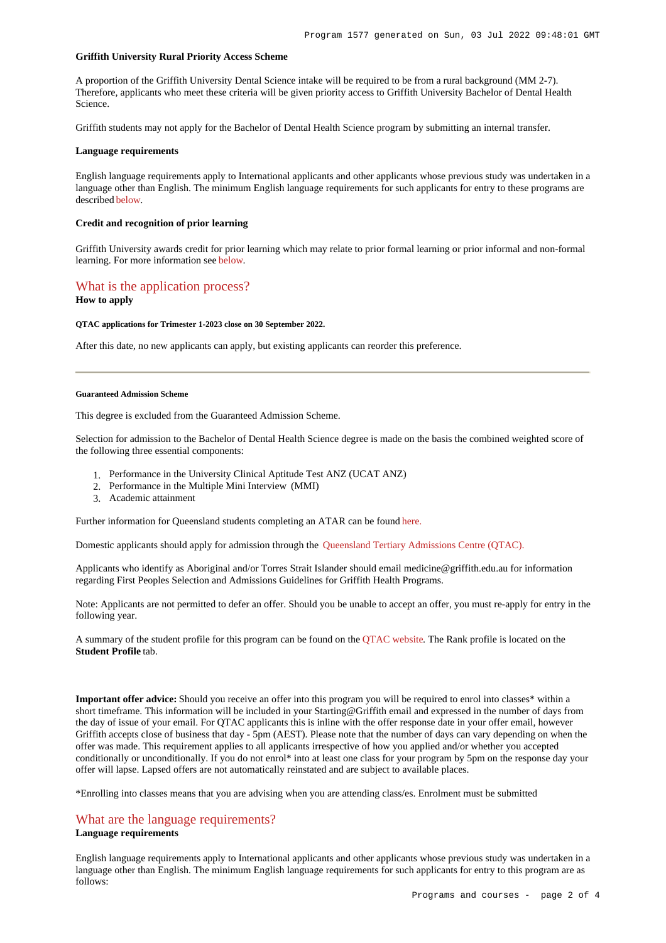#### **Griffith University Rural Priority Access Scheme**

A proportion of the Griffith University Dental Science intake will be required to be from a rural background (MM 2-7). Therefore, applicants who meet these criteria will be given priority access to Griffith University Bachelor of Dental Health Science.

Griffith students may not apply for the Bachelor of Dental Health Science program by submitting an internal transfer.

#### **Language requirements**

English language requirements apply to International applicants and other applicants whose previous study was undertaken in a language other than English. The minimum English language requirements for such applicants for entry to these programs are described [below](https://www148.griffith.edu.au/programs-courses/Program/1577/HowToApply/Domestic#language).

#### **Credit and recognition of prior learning**

Griffith University awards credit for prior learning which may relate to prior formal learning or prior informal and non-formal learning. For more information see [below](https://www148.griffith.edu.au/programs-courses/Program/1577/HowToApply/Domestic#credit).

## [What is the application process?](https://www148.griffith.edu.au/programs-courses/Program/1577/HowToApply/Domestic#process)

### **How to apply**

#### **QTAC applications for Trimester 1-2023 close on 30 September 2022.**

After this date, no new applicants can apply, but existing applicants can reorder this preference.

#### **Guaranteed Admission Scheme**

This degree is excluded from the Guaranteed Admission Scheme.

Selection for admission to the Bachelor of Dental Health Science degree is made on the basis the combined weighted score of the following three essential components:

- 1. Performance in the University Clinical Aptitude Test ANZ (UCAT ANZ)
- 2. Performance in the Multiple Mini Interview (MMI)
- 3. Academic attainment

Further information for Queensland students completing an ATAR can be foun[d here.](https://www.griffith.edu.au/apply/undergraduate-study/high-school-students/admission-in-2021)

Domestic applicants should apply for admission through the [Queensland Tertiary Admissions Centre \(QTAC\).](https://www.qtac.edu.au/)

Applicants who identify as Aboriginal and/or Torres Strait Islander should email medicine@griffith.edu.au for information regarding First Peoples Selection and Admissions Guidelines for Griffith Health Programs.

Note: Applicants are not permitted to defer an offer. Should you be unable to accept an offer, you must re-apply for entry in the following year.

A summary of the student profile for this program can be found on the [QTAC website](https://www.qtac.edu.au/courses/listing/bachelor-of-dental-health-science-233812/). The Rank profile is located on the **Student Profile** tab.

**Important offer advice:** Should you receive an offer into this program you will be required to enrol into classes\* within a short timeframe. This information will be included in your Starting@Griffith email and expressed in the number of days from the day of issue of your email. For QTAC applicants this is inline with the offer response date in your offer email, however Griffith accepts close of business that day - 5pm (AEST). Please note that the number of days can vary depending on when the offer was made. This requirement applies to all applicants irrespective of how you applied and/or whether you accepted conditionally or unconditionally. If you do not enrol\* into at least one class for your program by 5pm on the response day your offer will lapse. Lapsed offers are not automatically reinstated and are subject to available places.

\*Enrolling into classes means that you are advising when you are attending class/es. Enrolment must be submitted

## [What are the language requirements?](https://www148.griffith.edu.au/programs-courses/Program/1577/HowToApply/Domestic#language)

# **Language requirements**

English language requirements apply to International applicants and other applicants whose previous study was undertaken in a language other than English. The minimum English language requirements for such applicants for entry to this program are as follows: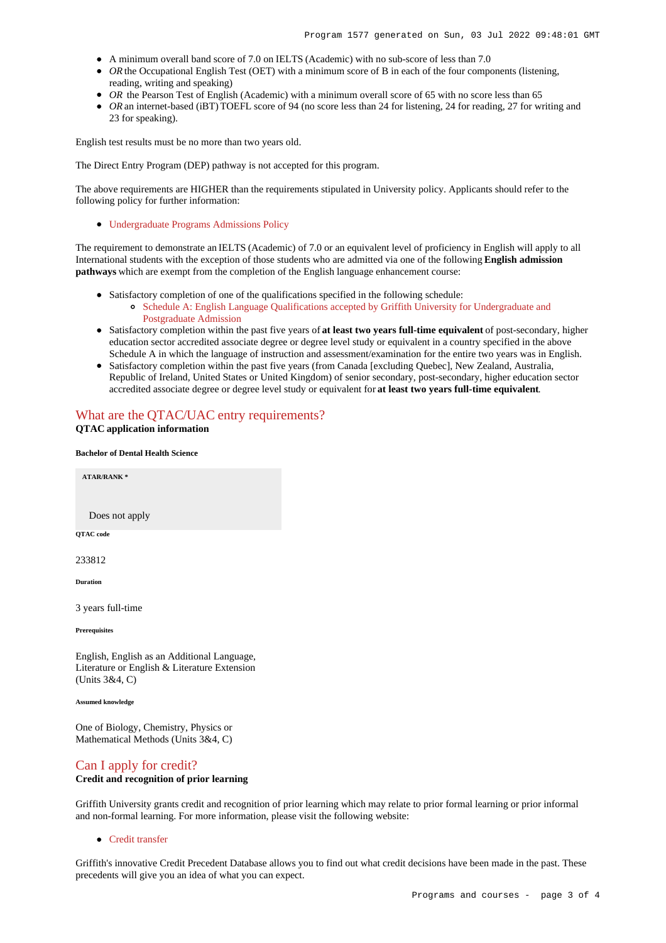- A minimum overall band score of 7.0 on IELTS (Academic) with no sub-score of less than 7.0
- OR the Occupational English Test (OET) with a minimum score of B in each of the four components (listening, reading, writing and speaking)
- OR the Pearson Test of English (Academic) with a minimum overall score of 65 with no score less than 65
- *OR* an internet-based (iBT) TOEFL score of 94 (no score less than 24 for listening, 24 for reading, 27 for writing and 23 for speaking).

English test results must be no more than two years old.

The Direct Entry Program (DEP) pathway is not accepted for this program.

The above requirements are HIGHER than the requirements stipulated in University policy. Applicants should refer to the following policy for further information:

[Undergraduate Programs Admissions Policy](http://policies.griffith.edu.au/pdf/Undergraduate Programs Admission Policy.pdf)

The requirement to demonstrate an IELTS (Academic) of 7.0 or an equivalent level of proficiency in English will apply to all International students with the exception of those students who are admitted via one of the following **English admission pathways** which are exempt from the completion of the English language enhancement course:

- Satisfactory completion of one of the qualifications specified in the following schedule:
	- [Schedule A: English Language Qualifications accepted by Griffith University for Undergraduate and](http://policies.griffith.edu.au/pdf/Admission-Policy-Schedule-A.pdf) [Postgraduate Admission](http://policies.griffith.edu.au/pdf/Admission-Policy-Schedule-A.pdf)
- Satisfactory completion within the past five years of **at least two years full-time equivalent** of post-secondary, higher education sector accredited associate degree or degree level study or equivalent in a country specified in the above Schedule A in which the language of instruction and assessment/examination for the entire two years was in English.
- Satisfactory completion within the past five years (from Canada [excluding Quebec], New Zealand, Australia, Republic of Ireland, United States or United Kingdom) of senior secondary, post-secondary, higher education sector accredited associate degree or degree level study or equivalent for **at least two years full-time equivalent**.

# [What are the QTAC/UAC entry requirements?](https://www148.griffith.edu.au/programs-courses/Program/1577/HowToApply/Domestic#tac-entry-requirements)

**QTAC application information**

#### **Bachelor of Dental Health Science**

**ATAR/RANK \***

Does not apply

**QTAC code**

233812

**Duration**

3 years full-time

**Prerequisites**

English, English as an Additional Language, Literature or English & Literature Extension (Units 3&4, C)

**Assumed knowledge**

One of Biology, Chemistry, Physics or Mathematical Methods (Units 3&4, C)

# [Can I apply for credit?](https://www148.griffith.edu.au/programs-courses/Program/1577/HowToApply/Domestic#credit)

# **Credit and recognition of prior learning**

Griffith University grants credit and recognition of prior learning which may relate to prior formal learning or prior informal and non-formal learning. For more information, please visit the following website:

• [Credit transfer](https://www.griffith.edu.au/apply/credit-transfer)

Griffith's innovative Credit Precedent Database allows you to find out what credit decisions have been made in the past. These precedents will give you an idea of what you can expect.